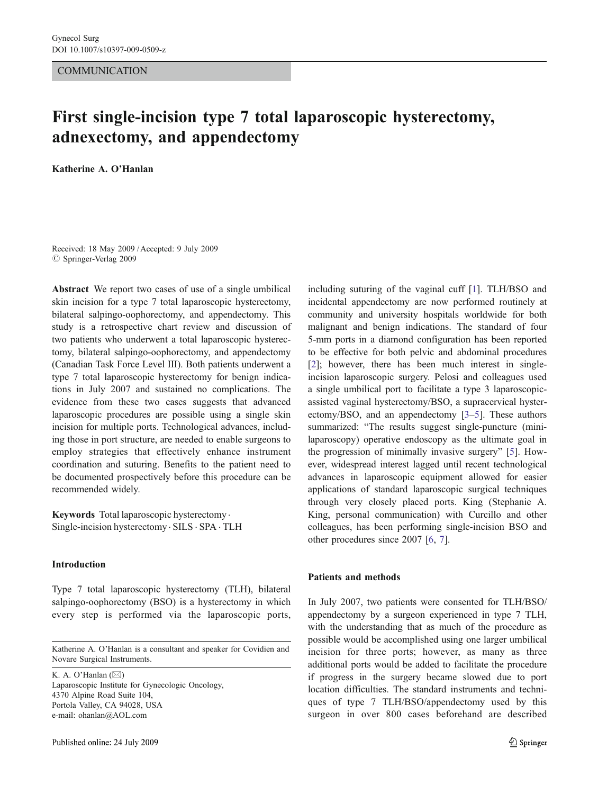**COMMUNICATION** 

# First single-incision type 7 total laparoscopic hysterectomy, adnexectomy, and appendectomy

Katherine A. O*'*Hanlan

Received: 18 May 2009 /Accepted: 9 July 2009  $\circ$  Springer-Verlag 2009

Abstract We report two cases of use of a single umbilical skin incision for a type 7 total laparoscopic hysterectomy, bilateral salpingo-oophorectomy, and appendectomy. This study is a retrospective chart review and discussion of two patients who underwent a total laparoscopic hysterectomy, bilateral salpingo-oophorectomy, and appendectomy (Canadian Task Force Level III). Both patients underwent a type 7 total laparoscopic hysterectomy for benign indications in July 2007 and sustained no complications. The evidence from these two cases suggests that advanced laparoscopic procedures are possible using a single skin incision for multiple ports. Technological advances, including those in port structure, are needed to enable surgeons to employ strategies that effectively enhance instrument coordination and suturing. Benefits to the patient need to be documented prospectively before this procedure can be recommended widely.

Keywords Total laparoscopic hysterectomy . Single-incision hysterectomy . SILS . SPA . TLH

## Introduction

Type 7 total laparoscopic hysterectomy (TLH), bilateral salpingo-oophorectomy (BSO) is a hysterectomy in which every step is performed via the laparoscopic ports,

Katherine A. O'Hanlan is a consultant and speaker for Covidien and Novare Surgical Instruments.

K. A. O'Hanlan (*\**) Laparoscopic Institute for Gynecologic Oncology, 4370 Alpine Road Suite 104, Portola Valley, CA 94028, USA e-mail: ohanlan@AOL.com

including suturing of the vaginal cuff [\[1](#page-3-0)]. TLH/BSO and incidental appendectomy are now performed routinely at community and university hospitals worldwide for both malignant and benign indications. The standard of four 5-mm ports in a diamond configuration has been reported to be effective for both pelvic and abdominal procedures [\[2](#page-3-0)]; however, there has been much interest in singleincision laparoscopic surgery. Pelosi and colleagues used a single umbilical port to facilitate a type 3 laparoscopicassisted vaginal hysterectomy/BSO, a supracervical hysterectomy/BSO, and an appendectomy [[3](#page-3-0)–[5\]](#page-3-0). These authors summarized: "The results suggest single-puncture (minilaparoscopy) operative endoscopy as the ultimate goal in the progression of minimally invasive surgery" [[5\]](#page-3-0). However, widespread interest lagged until recent technological advances in laparoscopic equipment allowed for easier applications of standard laparoscopic surgical techniques through very closely placed ports. King (Stephanie A. King, personal communication) with Curcillo and other colleagues, has been performing single-incision BSO and other procedures since 2007 [\[6](#page-3-0), [7\]](#page-3-0).

## Patients and methods

In July 2007, two patients were consented for TLH/BSO/ appendectomy by a surgeon experienced in type 7 TLH, with the understanding that as much of the procedure as possible would be accomplished using one larger umbilical incision for three ports; however, as many as three additional ports would be added to facilitate the procedure if progress in the surgery became slowed due to port location difficulties. The standard instruments and techniques of type 7 TLH/BSO/appendectomy used by this surgeon in over 800 cases beforehand are described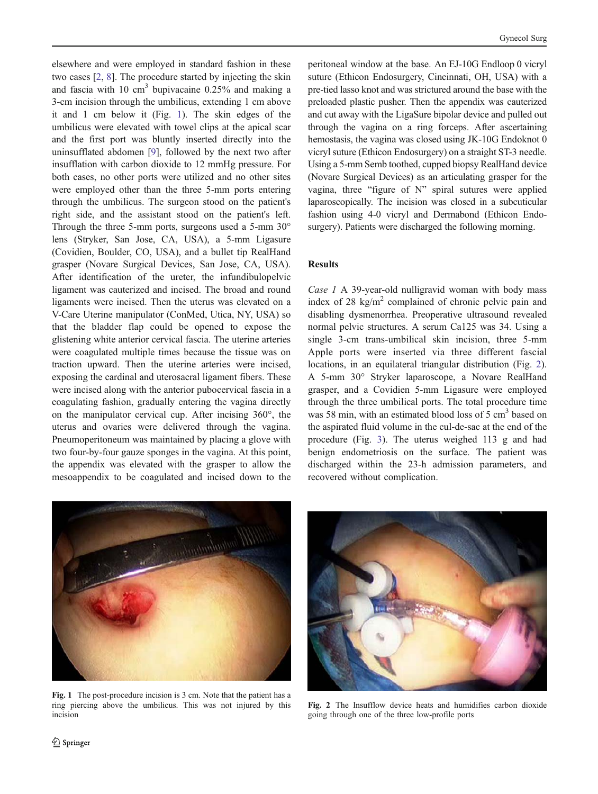elsewhere and were employed in standard fashion in these two cases [[2,](#page-3-0) [8](#page-3-0)]. The procedure started by injecting the skin and fascia with 10  $\text{cm}^3$  bupivacaine 0.25% and making a 3-cm incision through the umbilicus, extending 1 cm above it and 1 cm below it (Fig. 1). The skin edges of the umbilicus were elevated with towel clips at the apical scar and the first port was bluntly inserted directly into the uninsufflated abdomen [\[9](#page-3-0)], followed by the next two after insufflation with carbon dioxide to 12 mmHg pressure. For both cases, no other ports were utilized and no other sites were employed other than the three 5-mm ports entering through the umbilicus. The surgeon stood on the patient's right side, and the assistant stood on the patient's left. Through the three 5-mm ports, surgeons used a 5-mm 30° lens (Stryker, San Jose, CA, USA), a 5-mm Ligasure (Covidien, Boulder, CO, USA), and a bullet tip RealHand grasper (Novare Surgical Devices, San Jose, CA, USA). After identification of the ureter, the infundibulopelvic ligament was cauterized and incised. The broad and round ligaments were incised. Then the uterus was elevated on a V-Care Uterine manipulator (ConMed, Utica, NY, USA) so that the bladder flap could be opened to expose the glistening white anterior cervical fascia. The uterine arteries were coagulated multiple times because the tissue was on traction upward. Then the uterine arteries were incised, exposing the cardinal and uterosacral ligament fibers. These were incised along with the anterior pubocervical fascia in a coagulating fashion, gradually entering the vagina directly on the manipulator cervical cup. After incising 360°, the uterus and ovaries were delivered through the vagina. Pneumoperitoneum was maintained by placing a glove with two four-by-four gauze sponges in the vagina. At this point, the appendix was elevated with the grasper to allow the mesoappendix to be coagulated and incised down to the peritoneal window at the base. An EJ-10G Endloop 0 vicryl suture (Ethicon Endosurgery, Cincinnati, OH, USA) with a pre-tied lasso knot and was strictured around the base with the preloaded plastic pusher. Then the appendix was cauterized and cut away with the LigaSure bipolar device and pulled out through the vagina on a ring forceps. After ascertaining hemostasis, the vagina was closed using JK-10G Endoknot 0 vicryl suture (Ethicon Endosurgery) on a straight ST-3 needle. Using a 5-mm Semb toothed, cupped biopsy RealHand device (Novare Surgical Devices) as an articulating grasper for the vagina, three "figure of N" spiral sutures were applied laparoscopically. The incision was closed in a subcuticular fashion using 4-0 vicryl and Dermabond (Ethicon Endosurgery). Patients were discharged the following morning.

## Results

Case 1 A 39-year-old nulligravid woman with body mass index of 28 kg/m<sup>2</sup> complained of chronic pelvic pain and disabling dysmenorrhea. Preoperative ultrasound revealed normal pelvic structures. A serum Ca125 was 34. Using a single 3-cm trans-umbilical skin incision, three 5-mm Apple ports were inserted via three different fascial locations, in an equilateral triangular distribution (Fig. 2). A 5-mm 30° Stryker laparoscope, a Novare RealHand grasper, and a Covidien 5-mm Ligasure were employed through the three umbilical ports. The total procedure time was 58 min, with an estimated blood loss of 5  $\text{cm}^3$  based on the aspirated fluid volume in the cul-de-sac at the end of the procedure (Fig. [3\)](#page-2-0). The uterus weighed 113 g and had benign endometriosis on the surface. The patient was discharged within the 23-h admission parameters, and recovered without complication.



Fig. 1 The post-procedure incision is 3 cm. Note that the patient has a ring piercing above the umbilicus. This was not injured by this incision



Fig. 2 The Insufflow device heats and humidifies carbon dioxide going through one of the three low-profile ports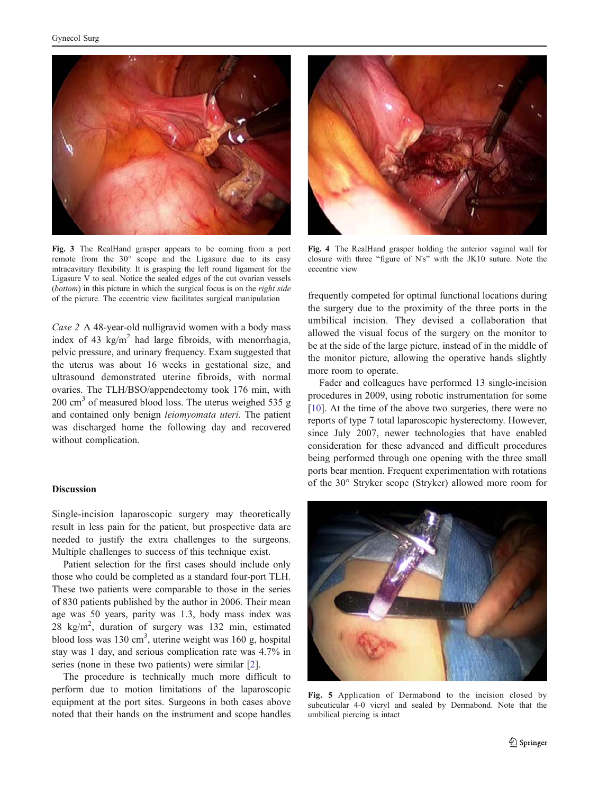<span id="page-2-0"></span>

Fig. 3 The RealHand grasper appears to be coming from a port remote from the 30° scope and the Ligasure due to its easy intracavitary flexibility. It is grasping the left round ligament for the Ligasure V to seal. Notice the sealed edges of the cut ovarian vessels (bottom) in this picture in which the surgical focus is on the right side of the picture. The eccentric view facilitates surgical manipulation

Case 2 A 48-year-old nulligravid women with a body mass index of 43 kg/m<sup>2</sup> had large fibroids, with menorrhagia, pelvic pressure, and urinary frequency. Exam suggested that the uterus was about 16 weeks in gestational size, and ultrasound demonstrated uterine fibroids, with normal ovaries. The TLH/BSO/appendectomy took 176 min, with  $200 \text{ cm}^3$  of measured blood loss. The uterus weighed 535 g and contained only benign leiomyomata uteri. The patient was discharged home the following day and recovered without complication.

### **Discussion**

Single-incision laparoscopic surgery may theoretically result in less pain for the patient, but prospective data are needed to justify the extra challenges to the surgeons. Multiple challenges to success of this technique exist.

Patient selection for the first cases should include only those who could be completed as a standard four-port TLH. These two patients were comparable to those in the series of 830 patients published by the author in 2006. Their mean age was 50 years, parity was 1.3, body mass index was 28 kg/m<sup>2</sup> , duration of surgery was 132 min, estimated blood loss was 130 cm<sup>3</sup>, uterine weight was 160 g, hospital stay was 1 day, and serious complication rate was 4.7% in series (none in these two patients) were similar [\[2](#page-3-0)].

The procedure is technically much more difficult to perform due to motion limitations of the laparoscopic equipment at the port sites. Surgeons in both cases above noted that their hands on the instrument and scope handles



Fig. 4 The RealHand grasper holding the anterior vaginal wall for closure with three "figure of N's" with the JK10 suture. Note the eccentric view

frequently competed for optimal functional locations during the surgery due to the proximity of the three ports in the umbilical incision. They devised a collaboration that allowed the visual focus of the surgery on the monitor to be at the side of the large picture, instead of in the middle of the monitor picture, allowing the operative hands slightly more room to operate.

Fader and colleagues have performed 13 single-incision procedures in 2009, using robotic instrumentation for some [\[10](#page-3-0)]. At the time of the above two surgeries, there were no reports of type 7 total laparoscopic hysterectomy. However, since July 2007, newer technologies that have enabled consideration for these advanced and difficult procedures being performed through one opening with the three small ports bear mention. Frequent experimentation with rotations of the 30° Stryker scope (Stryker) allowed more room for



Fig. 5 Application of Dermabond to the incision closed by subcuticular 4-0 vicryl and sealed by Dermabond. Note that the umbilical piercing is intact